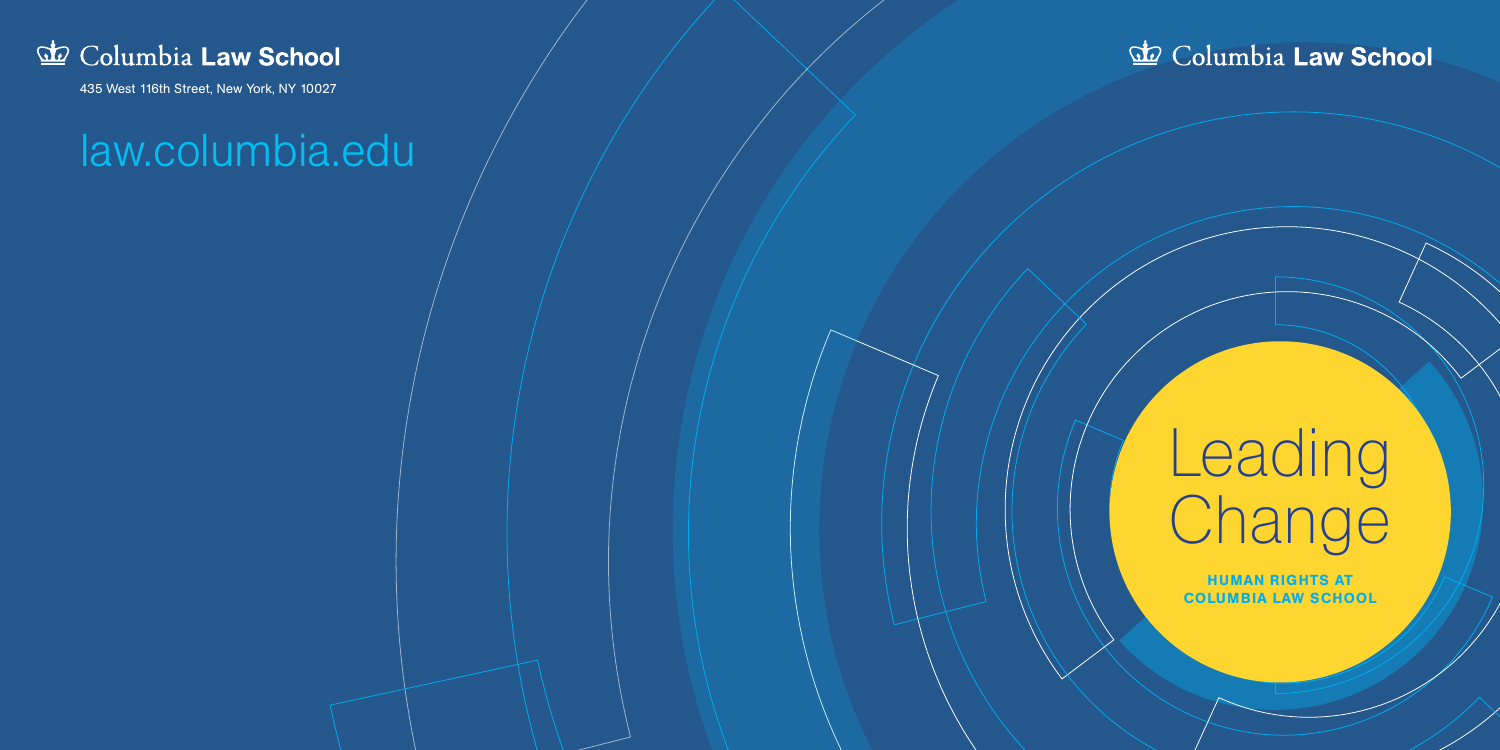# **Leading** Change

HUMAN RIGHTS AT COLUMBIA LAW SCHOOL



435 West 116th Street, New York, NY 10027

# law.columbia.edu

# & Columbia Law School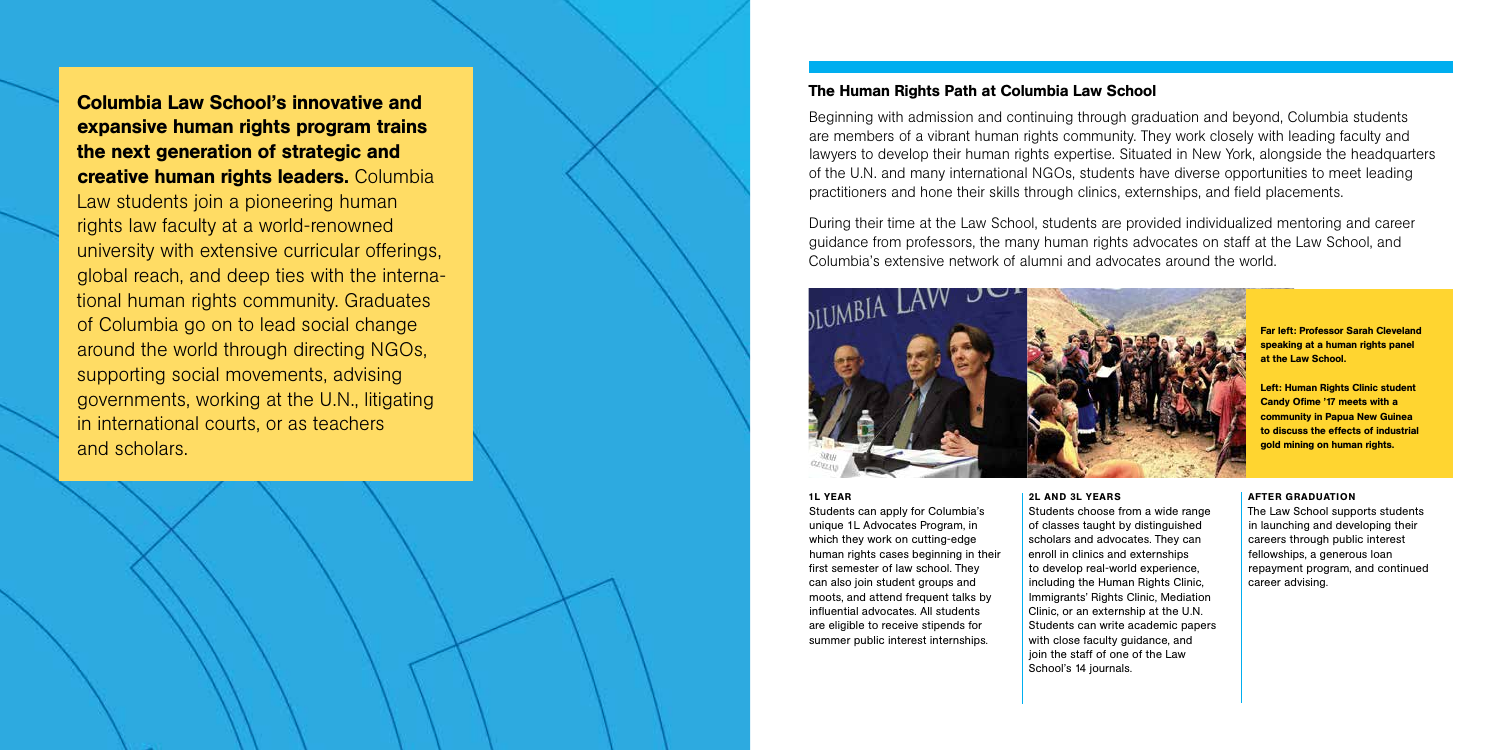Beginning with admission and continuing through graduation and beyond, Columbia students are members of a vibrant human rights community. They work closely with leading faculty and lawyers to develop their human rights expertise. Situated in New York, alongside the headquarters of the U.N. and many international NGOs, students have diverse opportunities to meet leading practitioners and hone their skills through clinics, externships, and field placements.

During their time at the Law School, students are provided individualized mentoring and career guidance from professors, the many human rights advocates on staff at the Law School, and Columbia's extensive network of alumni and advocates around the world.



# 1L YEAR

Students can apply for Columbia's unique 1L Advocates Program, in which they work on cutting-edge human rights cases beginning in their first semester of law school. They can also join student groups and moots, and attend frequent talks by influential advocates. All students are eligible to receive stipends for summer public interest internships.

# 2L AND 3L YEARS

Students choose from a wide range of classes taught by distinguished scholars and advocates. They can enroll in clinics and externships to develop real-world experience, including the Human Rights Clinic, Immigrants' Rights Clinic, Mediation Clinic, or an externship at the U.N. Students can write academic papers with close faculty guidance, and join the staff of one of the Law School's 14 journals.

# AFTER GRADUATION

The Law School supports students in launching and developing their careers through public interest fellowships, a generous loan repayment program, and continued career advising.

Columbia Law School's innovative and expansive human rights program trains the next generation of strategic and creative human rights leaders. Columbia Law students join a pioneering human rights law faculty at a world-renowned university with extensive curricular offerings, global reach, and deep ties with the interna tional human rights community. Graduates of Columbia go on to lead social change around the world through directing NGOs, supporting social movements, advising governments, working at the U.N., litigating in international courts, or as teachers and scholars.

# The Human Rights Path at Columbia Law School

Far left: Professor Sarah Cleveland speaking at a human rights panel at the Law School.

Left: Human Rights Clinic student Candy Ofime '17 meets with a community in Papua New Guinea to discuss the effects of industrial gold mining on human rights.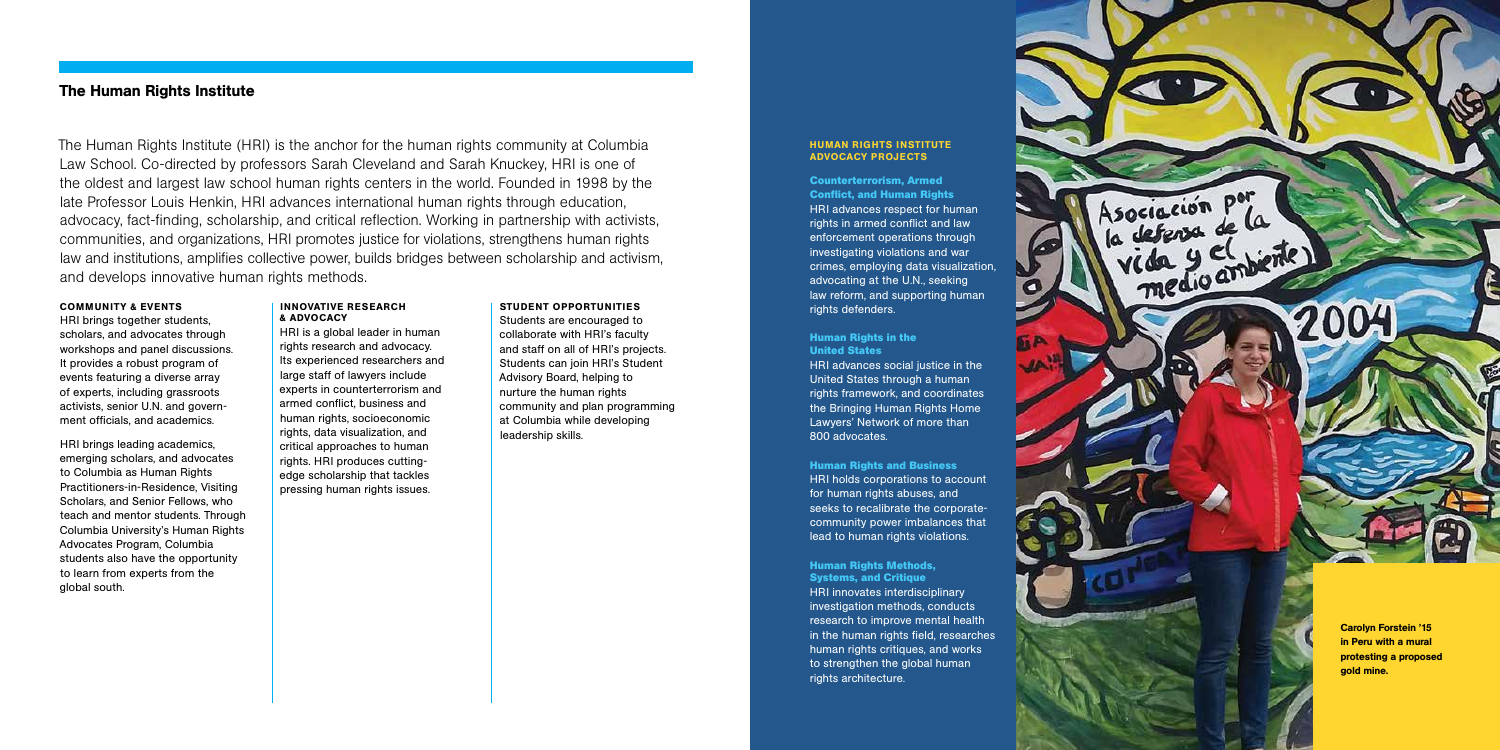The Human Rights Institute (HRI) is the anchor for the human rights community at Columbia Law School. Co-directed by professors Sarah Cleveland and Sarah Knuckey, HRI is one of the oldest and largest law school human rights centers in the world. Founded in 1998 by the late Professor Louis Henkin, HRI advances international human rights through education, advocacy, fact-finding, scholarship, and critical reflection. Working in partnership with activists, communities, and organizations, HRI promotes justice for violations, strengthens human rights law and institutions, amplifies collective power, builds bridges between scholarship and activism, and develops innovative human rights methods.

### COMMUNITY & EVENTS

HRI brings together students, scholars, and advocates through workshops and panel discussions. It provides a robust program of events featuring a diverse array of experts, including grassroots activists, senior U.N. and government officials, and academics.

**Counterterrorism, Armed Conflict, and Human Rights** HRI advances respect for human rights in armed conflict and law enforcement operations through investigating violations and war crimes, employing data visualization, advocating at the U.N., seeking law reform, and supporting human rights defenders.

HRI brings leading academics, emerging scholars, and advocates to Columbia as Human Rights Practitioners-in-Residence, Visiting Scholars, and Senior Fellows, who teach and mentor students. Through Columbia University's Human Rights Advocates Program, Columbia students also have the opportunity to learn from experts from the global south.

#### INNOVATIVE RESEARCH & ADVOCACY

HRI is a global leader in human rights research and advocacy. Its experienced researchers and large staff of lawyers include experts in counterterrorism and armed conflict, business and human rights, socioeconomic rights, data visualization, and critical approaches to human rights. HRI produces cuttingedge scholarship that tackles pressing human rights issues.

# STUDENT OPPORTUNITIES

Students are encouraged to collaborate with HRI's faculty and staff on all of HRI's projects. Students can join HRI's Student Advisory Board, helping to nurture the human rights community and plan programming at Columbia while developing leadership skills.

# The Human Rights Institute

# **Human Rights in the United States**

HRI advances social justice in the United States through a human rights framework, and coordinates the Bringing Human Rights Home Lawyers' Network of more than 800 advocates.

**Human Rights and Business**  HRI holds corporations to account for human rights abuses, and seeks to recalibrate the corporatecommunity power imbalances that lead to human rights violations.

**Human Rights Methods, Systems, and Critique**  HRI innovates interdisciplinary investigation methods, conducts research to improve mental health in the human rights field, researches human rights critiques, and works to strengthen the global human rights architecture.



#### HUMAN RIGHTS INSTITUTE ADVOCACY PROJECTS

Carolyn Forstein '15 in Peru with a mural protesting a proposed gold mine.

2004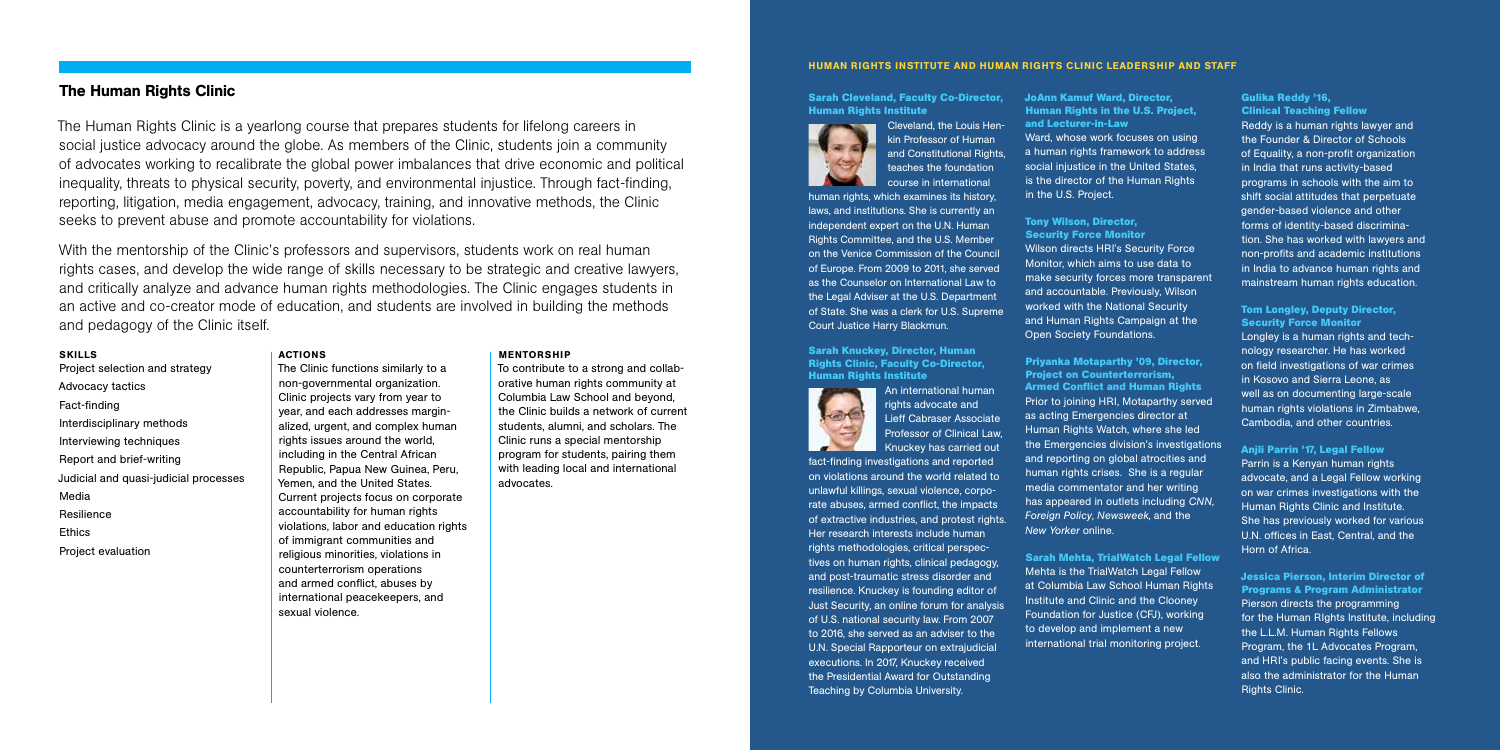**JoAnn Kamuf Ward, Director, Human Rights in the U.S. Project, and Lecturer-in-Law** Ward, whose work focuses on using a human rights framework to address social injustice in the United States, is the director of the Human Rights in the U.S. Project.

**Tony Wilson, Director, Security Force Monitor** Wilson directs HRI's Security Force Monitor, which aims to use data to make security forces more transparent and accountable. Previously, Wilson worked with the National Security and Human Rights Campaign at the Open Society Foundations.

**Priyanka Motaparthy '09, Director, Project on Counterterrorism, Armed Conflict and Human Rights**  Prior to joining HRI, Motaparthy served as acting Emergencies director at Human Rights Watch, where she led the Emergencies division's investigations and reporting on global atrocities and human rights crises. She is a regular media commentator and her writing has appeared in outlets including *CNN*, *Foreign Policy*, *Newsweek*, and the *New Yorker* online.

**Sarah Mehta, TrialWatch Legal Fellow** Mehta is the TrialWatch Legal Fellow at Columbia Law School Human Rights Institute and Clinic and the Clooney Foundation for Justice (CFJ), working to develop and implement a new international trial monitoring project.

#### **Gulika Reddy '16, Clinical Teaching Fellow**

Reddy is a human rights lawyer and the Founder & Director of Schools of Equality, a non-profit organization in India that runs activity-based programs in schools with the aim to shift social attitudes that perpetuate gender-based violence and other forms of identity-based discrimination. She has worked with lawyers and non-profits and academic institutions in India to advance human rights and mainstream human rights education.

# **Tom Longley, Deputy Director, Security Force Monitor**

Longley is a human rights and technology researcher. He has worked on field investigations of war crimes in Kosovo and Sierra Leone, as well as on documenting large-scale human rights violations in Zimbabwe, Cambodia, and other countries.

# **Anjli Parrin '17, Legal Fellow**

Parrin is a Kenyan human rights advocate, and a Legal Fellow working on war crimes investigations with the Human Rights Clinic and Institute. She has previously worked for various U.N. offices in East, Central, and the Horn of Africa.

**Jessica Pierson, Interim Director of Programs & Program Administrator** Pierson directs the programming for the Human RIghts Institute, including the L.L.M. Human Rights Fellows Program, the 1L Advocates Program, and HRI's public facing events. She is also the administrator for the Human Rights Clinic.

The Human Rights Clinic is a yearlong course that prepares students for lifelong careers in social justice advocacy around the globe. As members of the Clinic, students join a community of advocates working to recalibrate the global power imbalances that drive economic and political inequality, threats to physical security, poverty, and environmental injustice. Through fact-finding, reporting, litigation, media engagement, advocacy, training, and innovative methods, the Clinic seeks to prevent abuse and promote accountability for violations.

With the mentorship of the Clinic's professors and supervisors, students work on real human rights cases, and develop the wide range of skills necessary to be strategic and creative lawyers, and critically analyze and advance human rights methodologies. The Clinic engages students in an active and co-creator mode of education, and students are involved in building the methods and pedagogy of the Clinic itself.

#### SKILLS

# Project selection and strategy Advocacy tactics Fact-finding Interdisciplinary methods Interviewing techniques Report and brief-writing Judicial and quasi-judicial processes Media Resilience Ethics Project evaluation

## ACTIONS

The Clinic functions similarly to a non-governmental organization. Clinic projects vary from year to year, and each addresses marginalized, urgent, and complex human rights issues around the world, including in the Central African Republic, Papua New Guinea, Peru, Yemen, and the United States. Current projects focus on corporate accountability for human rights violations, labor and education rights of immigrant communities and religious minorities, violations in counterterrorism operations and armed conflict, abuses by international peacekeepers, and sexual violence.

MENTORSHIP

# To contribute to a strong and collaborative human rights community at Columbia Law School and beyond, the Clinic builds a network of current students, alumni, and scholars. The Clinic runs a special mentorship program for students, pairing them with leading local and international

advocates.

# The Human Rights Clinic

#### HUMAN RIGHTS INSTITUTE AND HUMAN RIGHTS CLINIC LEADERSHIP AND STAFF

**Sarah Cleveland, Faculty Co-Director, Human Rights Institute**



Cleveland, the Louis Henkin Professor of Human and Constitutional Rights. teaches the foundation course in international

human rights, which examines its history, laws, and institutions. She is currently an independent expert on the U.N. Human Rights Committee, and the U.S. Member on the Venice Commission of the Council of Europe. From 2009 to 2011, she served as the Counselor on International Law to the Legal Adviser at the U.S. Department of State. She was a clerk for U.S. Supreme Court Justice Harry Blackmun.

### **Sarah Knuckey, Director, Human Rights Clinic, Faculty Co-Director, Human Rights Institute**



An international human rights advocate and Lieff Cabraser Associate Professor of Clinical Law, Knuckey has carried out

fact-finding investigations and reported on violations around the world related to unlawful killings, sexual violence, corporate abuses, armed conflict, the impacts of extractive industries, and protest rights. Her research interests include human rights methodologies, critical perspectives on human rights, clinical pedagogy, and post-traumatic stress disorder and resilience. Knuckey is founding editor of Just Security, an online forum for analysis of U.S. national security law. From 2007 to 2016, she served as an adviser to the U.N. Special Rapporteur on extrajudicial executions. In 2017, Knuckey received the Presidential Award for Outstanding Teaching by Columbia University.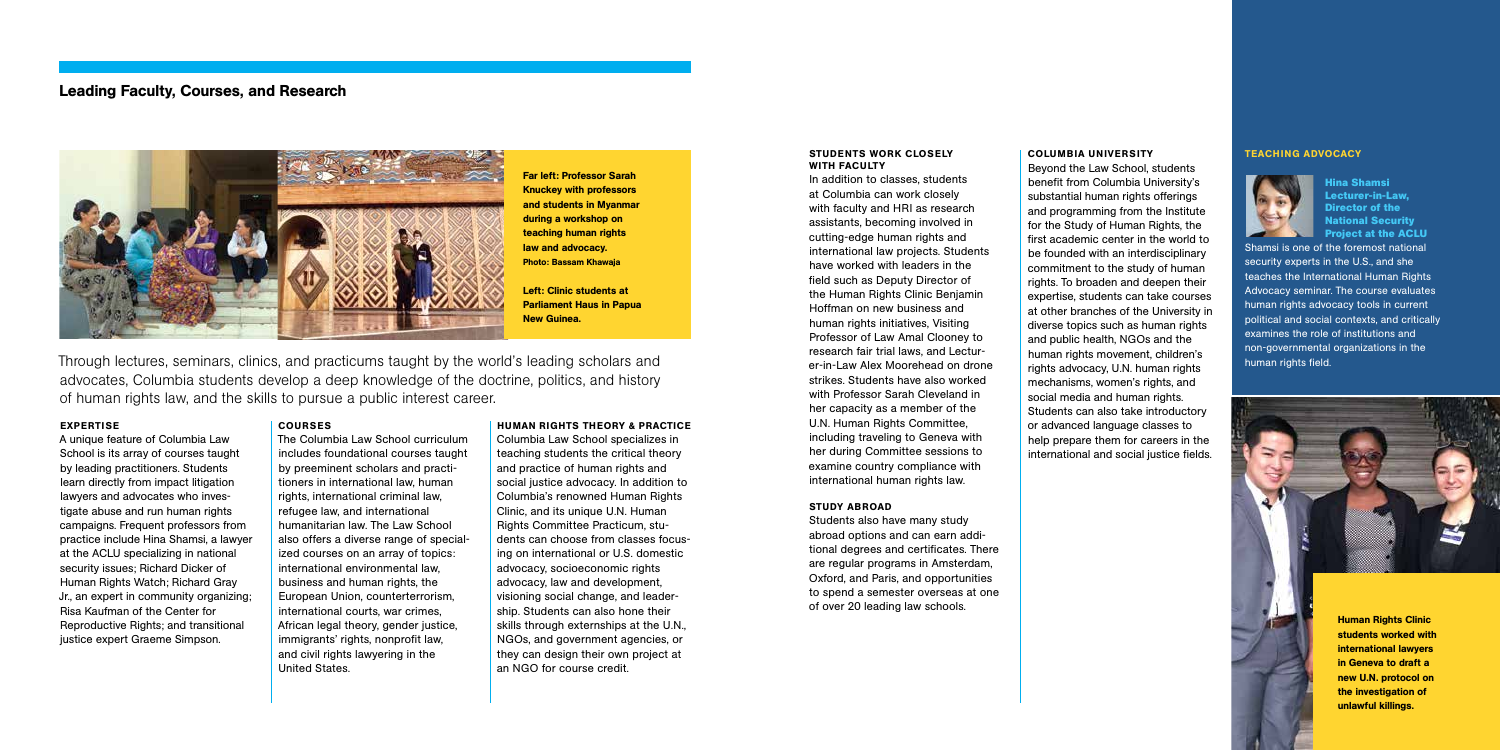#### STUDENTS WORK CLOSELY WITH FACULTY

In addition to classes, students at Columbia can work closely with faculty and HRI as research assistants, becoming involved in cutting-edge human rights and international law projects. Students have worked with leaders in the field such as Deputy Director of the Human Rights Clinic Benjamin Hoffman on new business and human rights initiatives, Visiting Professor of Law Amal Clooney to research fair trial laws, and Lecturer-in-Law Alex Moorehead on drone strikes. Students have also worked with Professor Sarah Cleveland in her capacity as a member of the U.N. Human Rights Committee, including traveling to Geneva with her during Committee sessions to examine country compliance with international human rights law.

#### STUDY ABROAD

Students also have many study abroad options and can earn additional degrees and certificates. There are regular programs in Amsterdam, Oxford, and Paris, and opportunities to spend a semester overseas at one of over 20 leading law schools.

A unique feature of Columbia Law School is its array of courses taught by leading practitioners. Students learn directly from impact litigation lawyers and advocates who investigate abuse and run human rights campaigns. Frequent professors from practice include Hina Shamsi, a lawyer at the ACLU specializing in national security issues; Richard Dicker of Human Rights Watch; Richard Gray Jr., an expert in community organizing; Risa Kaufman of the Center for Reproductive Rights; and transitional justice expert Graeme Simpson.

# COLUMBIA UNIVERSITY

Beyond the Law School, students benefit from Columbia University's substantial human rights offerings and programming from the Institute for the Study of Human Rights, the first academic center in the world to be founded with an interdisciplinary commitment to the study of human rights. To broaden and deepen their expertise, students can take courses at other branches of the University in diverse topics such as human rights and public health, NGOs and the human rights movement, children's rights advocacy, U.N. human rights mechanisms, women's rights, and social media and human rights. Students can also take introductory or advanced language classes to help prepare them for careers in the international and social justice fields.

Through lectures, seminars, clinics, and practicums taught by the world's leading scholars and advocates, Columbia students develop a deep knowledge of the doctrine, politics, and history of human rights law, and the skills to pursue a public interest career.

### EXPERTISE

# COURSES

The Columbia Law School curriculum includes foundational courses taught by preeminent scholars and practitioners in international law, human rights, international criminal law, refugee law, and international humanitarian law. The Law School also offers a diverse range of specialized courses on an array of topics: international environmental law, business and human rights, the European Union, counterterrorism, international courts, war crimes, African legal theory, gender justice, immigrants' rights, nonprofit law, and civil rights lawyering in the United States.

# HUMAN RIGHTS THEORY & PRACTICE

Columbia Law School specializes in teaching students the critical theory and practice of human rights and social justice advocacy. In addition to Columbia's renowned Human Rights Clinic, and its unique U.N. Human Rights Committee Practicum, students can choose from classes focusing on international or U.S. domestic advocacy, socioeconomic rights advocacy, law and development, visioning social change, and leadership. Students can also hone their skills through externships at the U.N., NGOs, and government agencies, or they can design their own project at an NGO for course credit.

# Leading Faculty, Courses, and Research



**Hina Shamsi Lecturer-in-Law, Director of the National Security Project at the ACLU**

Shamsi is one of the foremost national security experts in the U.S., and she teaches the International Human Rights Advocacy seminar. The course evaluates human rights advocacy tools in current political and social contexts, and critically examines the role of institutions and non-governmental organizations in the human rights field.

# TEACHING ADVOCACY



Far left: Professor Sarah Knuckey with professors and students in Myanmar during a workshop on teaching human rights law and advocacy. Photo: Bassam Khawaja

Left: Clinic students at Parliament Haus in Papua New Guinea.

> Human Rights Clinic students worked with international lawyers in Geneva to draft a new U.N. protocol on the investigation of unlawful killings.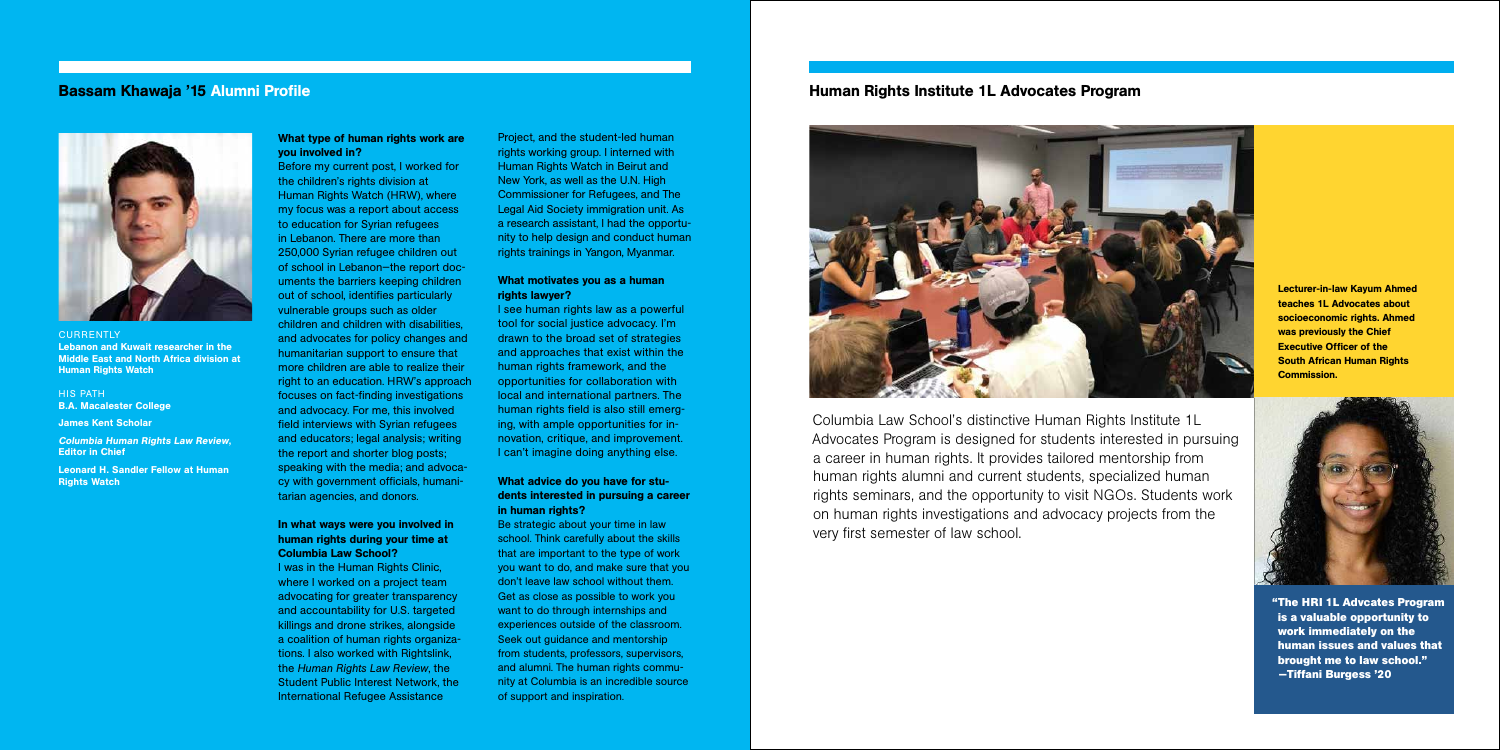Columbia Law School's distinctive Human Rights Institute 1L Advocates Program is designed for students interested in pursuing a career in human rights. It provides tailored mentorship from human rights alumni and current students, specialized human rights seminars, and the opportunity to visit NGOs. Students work on human rights investigations and advocacy projects from the very first semester of law school.

# Human Rights Institute 1L Advocates Program



# What type of human rights work are you involved in?

Before my current post, I worked for the children's rights division at Human Rights Watch (HRW), where my focus was a report about access to education for Syrian refugees in Lebanon. There are more than 250,000 Syrian refugee children out of school in Lebanon—the report documents the barriers keeping children out of school, identifies particularly vulnerable groups such as older children and children with disabilities, and advocates for policy changes and humanitarian support to ensure that more children are able to realize their right to an education. HRW's approach focuses on fact-finding investigations and advocacy. For me, this involved field interviews with Syrian refugees and educators; legal analysis; writing the report and shorter blog posts; speaking with the media; and advocacy with government officials, humanitarian agencies, and donors.

# In what ways were you involved in human rights during your time at Columbia Law School?

I was in the Human Rights Clinic, where I worked on a project team advocating for greater transparency and accountability for U.S. targeted killings and drone strikes, alongside a coalition of human rights organizations. I also worked with Rightslink, the *Human Rights Law Review*, the Student Public Interest Network, the International Refugee Assistance

Project, and the student-led human rights working group. I interned with Human Rights Watch in Beirut and New York, as well as the U.N. High Commissioner for Refugees, and The Legal Aid Society immigration unit. As a research assistant, I had the opportunity to help design and conduct human rights trainings in Yangon, Myanmar.

# What motivates you as a human rights lawyer?

I see human rights law as a powerful tool for social justice advocacy. I'm drawn to the broad set of strategies and approaches that exist within the human rights framework, and the opportunities for collaboration with local and international partners. The human rights field is also still emerging, with ample opportunities for innovation, critique, and improvement. I can't imagine doing anything else.

# What advice do you have for students interested in pursuing a career in human rights?

Be strategic about your time in law school. Think carefully about the skills that are important to the type of work you want to do, and make sure that you don't leave law school without them. Get as close as possible to work you want to do through internships and experiences outside of the classroom. Seek out guidance and mentorship from students, professors, supervisors, and alumni. The human rights community at Columbia is an incredible source of support and inspiration.

# Bassam Khawaja '15 Alumni Profile



**CURRENTLY** Lebanon and Kuwait researcher in the Middle East and North Africa division at **Human Rights Watch** 

HIS PATH B.A. Macalester College

James Kent Scholar

Columbia Human Rights Law Review, Editor in Chief

Leonard H. Sandler Fellow at Human Rights Watch

Lecturer-in-law Kayum Ahmed teaches 1L Advocates about socioeconomic rights. Ahmed was previously the Chief Executive Officer of the South African Human Rights Commission.



**"The HRI 1L Advcates Program is a valuable opportunity to work immediately on the human issues and values that brought me to law school." —Tiffani Burgess '20**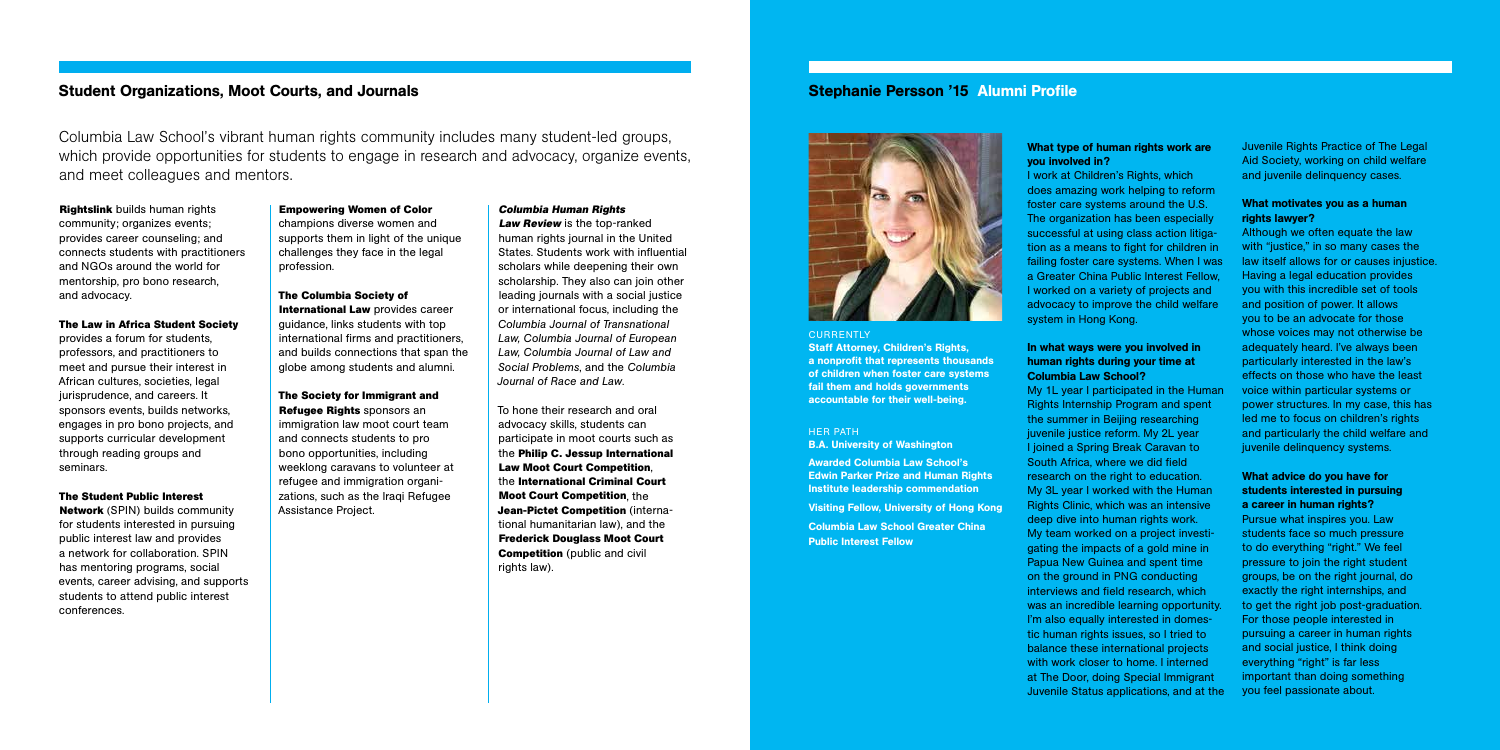Columbia Law School's vibrant human rights community includes many student-led groups, which provide opportunities for students to engage in research and advocacy, organize events, and meet colleagues and mentors.

**Rightslink** builds human rights community; organizes events; provides career counseling; and connects students with practitioners and NGOs around the world for mentorship, pro bono research, and advocacy.

# **The Law in Africa Student Society**

provides a forum for students, professors, and practitioners to meet and pursue their interest in African cultures, societies, legal jurisprudence, and careers. It sponsors events, builds networks, engages in pro bono projects, and supports curricular development through reading groups and seminars.

# **The Student Public Interest**

**Network** (SPIN) builds community for students interested in pursuing public interest law and provides a network for collaboration. SPIN has mentoring programs, social events, career advising, and supports students to attend public interest conferences.

To hone their research and oral advocacy skills, students can participate in moot courts such as the **Philip C. Jessup International Law Moot Court Competition**, the **International Criminal Court Moot Court Competition**, the **Jean-Pictet Competition** (international humanitarian law), and the **Frederick Douglass Moot Court Competition** (public and civil rights law).

# **Empowering Women of Color**

champions diverse women and supports them in light of the unique challenges they face in the legal profession.

# **The Columbia Society of**

# What type of human rights work are you involved in?

**International Law** provides career guidance, links students with top international firms and practitioners, and builds connections that span the globe among students and alumni.

# **The Society for Immigrant and Refugee Rights** sponsors an

immigration law moot court team and connects students to pro bono opportunities, including weeklong caravans to volunteer at refugee and immigration organizations, such as the Iraqi Refugee Assistance Project.

# **Columbia Human Rights**

**Law Review** is the top-ranked human rights journal in the United States. Students work with influential scholars while deepening their own scholarship. They also can join other leading journals with a social justice or international focus, including the *Columbia Journal of Transnational Law, Columbia Journal of European Law, Columbia Journal of Law and Social Problems*, and the *Columbia Journal of Race and Law*.

# Student Organizations, Moot Courts, and Journals

I work at Children's Rights, which does amazing work helping to reform foster care systems around the U.S. The organization has been especially successful at using class action litigation as a means to fight for children in failing foster care systems. When I was a Greater China Public Interest Fellow, I worked on a variety of projects and advocacy to improve the child welfare system in Hong Kong.

# In what ways were you involved in human rights during your time at Columbia Law School?

My 1L year I participated in the Human Rights Internship Program and spent the summer in Beijing researching juvenile justice reform. My 2L year I joined a Spring Break Caravan to South Africa, where we did field research on the right to education. My 3L year I worked with the Human Rights Clinic, which was an intensive deep dive into human rights work. My team worked on a project investigating the impacts of a gold mine in Papua New Guinea and spent time on the ground in PNG conducting interviews and field research, which was an incredible learning opportunity. I'm also equally interested in domestic human rights issues, so I tried to balance these international projects with work closer to home. I interned at The Door, doing Special Immigrant Juvenile Status applications, and at the

Juvenile Rights Practice of The Legal Aid Society, working on child welfare and juvenile delinquency cases.

# What motivates you as a human rights lawyer?

Although we often equate the law with "justice," in so many cases the law itself allows for or causes injustice. Having a legal education provides you with this incredible set of tools and position of power. It allows you to be an advocate for those whose voices may not otherwise be adequately heard. I've always been particularly interested in the law's effects on those who have the least voice within particular systems or power structures. In my case, this has led me to focus on children's rights and particularly the child welfare and juvenile delinquency systems.

# What advice do you have for students interested in pursuing a career in human rights?

Pursue what inspires you. Law students face so much pressure to do everything "right." We feel pressure to join the right student groups, be on the right journal, do exactly the right internships, and to get the right job post-graduation. For those people interested in pursuing a career in human rights and social justice, I think doing everything "right" is far less important than doing something you feel passionate about.

# Stephanie Persson '15 Alumni Profile



# **CURRENTLY**

Staff Attorney, Children's Rights, a nonprofit that represents thousands of children when foster care systems fail them and holds governments accountable for their well-being.

### HER PATH

B.A. University of Washington

Awarded Columbia Law School's Edwin Parker Prize and Human Rights Institute leadership commendation Visiting Fellow, University of Hong Kong Columbia Law School Greater China Public Interest Fellow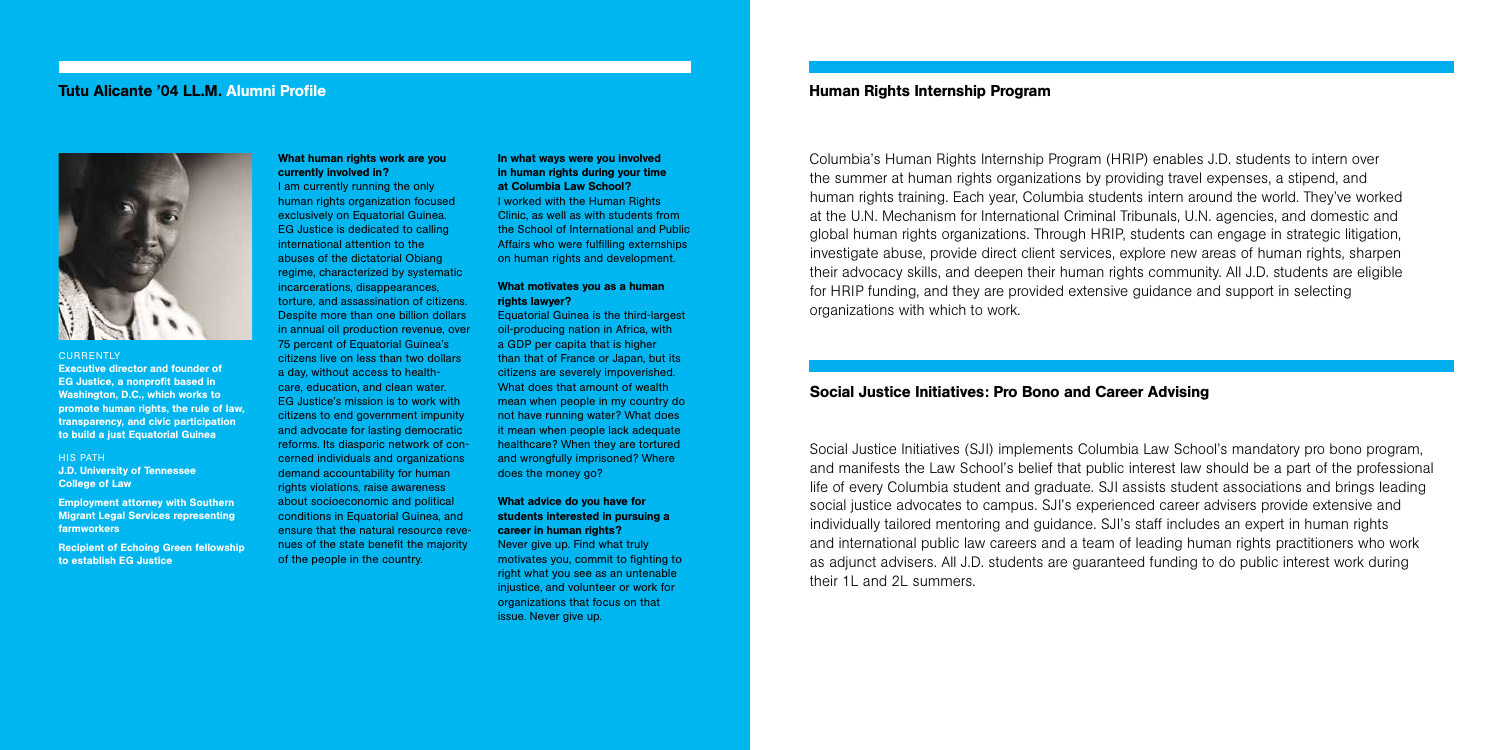Columbia's Human Rights Internship Program (HRIP) enables J.D. students to intern over the summer at human rights organizations by providing travel expenses, a stipend, and human rights training. Each year, Columbia students intern around the world. They've worked at the U.N. Mechanism for International Criminal Tribunals, U.N. agencies, and domestic and global human rights organizations. Through HRIP, students can engage in strategic litigation, investigate abuse, provide direct client services, explore new areas of human rights, sharpen their advocacy skills, and deepen their human rights community. All J.D. students are eligible for HRIP funding, and they are provided extensive guidance and support in selecting organizations with which to work.

# Social Justice Initiatives: Pro Bono and Career Advising

Social Justice Initiatives (SJI) implements Columbia Law School's mandatory pro bono program, and manifests the Law School's belief that public interest law should be a part of the professional life of every Columbia student and graduate. SJI assists student associations and brings leading social justice advocates to campus. SJI's experienced career advisers provide extensive and individually tailored mentoring and guidance. SJI's staff includes an expert in human rights and international public law careers and a team of leading human rights practitioners who work as adjunct advisers. All J.D. students are guaranteed funding to do public interest work during their 1L and 2L summers.

# Human Rights Internship Program

# What human rights work are you currently involved in?

I am currently running the only human rights organization focused exclusively on Equatorial Guinea. EG Justice is dedicated to calling international attention to the abuses of the dictatorial Obiang regime, characterized by systematic incarcerations, disappearances, torture, and assassination of citizens. Despite more than one billion dollars in annual oil production revenue, over 75 percent of Equatorial Guinea's citizens live on less than two dollars a day, without access to healthcare, education, and clean water. EG Justice's mission is to work with citizens to end government impunity and advocate for lasting democratic reforms. Its diasporic network of concerned individuals and organizations demand accountability for human rights violations, raise awareness about socioeconomic and political conditions in Equatorial Guinea, and ensure that the natural resource revenues of the state benefit the majority of the people in the country.

# In what ways were you involved in human rights during your time at Columbia Law School?

I worked with the Human Rights Clinic, as well as with students from the School of International and Public Affairs who were fulfilling externships on human rights and development.

# What motivates you as a human rights lawyer?

Equatorial Guinea is the third-largest oil-producing nation in Africa, with a GDP per capita that is higher than that of France or Japan, but its citizens are severely impoverished. What does that amount of wealth mean when people in my country do not have running water? What does it mean when people lack adequate healthcare? When they are tortured and wrongfully imprisoned? Where does the money go?

# What advice do you have for students interested in pursuing a career in human rights?

Never give up. Find what truly motivates you, commit to fighting to right what you see as an untenable injustice, and volunteer or work for organizations that focus on that issue. Never give up.

# Tutu Alicante '04 LL.M. Alumni Profile



# **CURRENTLY**

Executive director and founder of EG Justice, a nonprofit based in Washington, D.C., which works to promote human rights, the rule of law, transparency, and civic participation to build a just Equatorial Guinea

## HIS PATH J.D. University of Tennessee College of Law

Employment attorney with Southern Migrant Legal Services representing farmworkers

Recipient of Echoing Green fellowship to establish EG Justice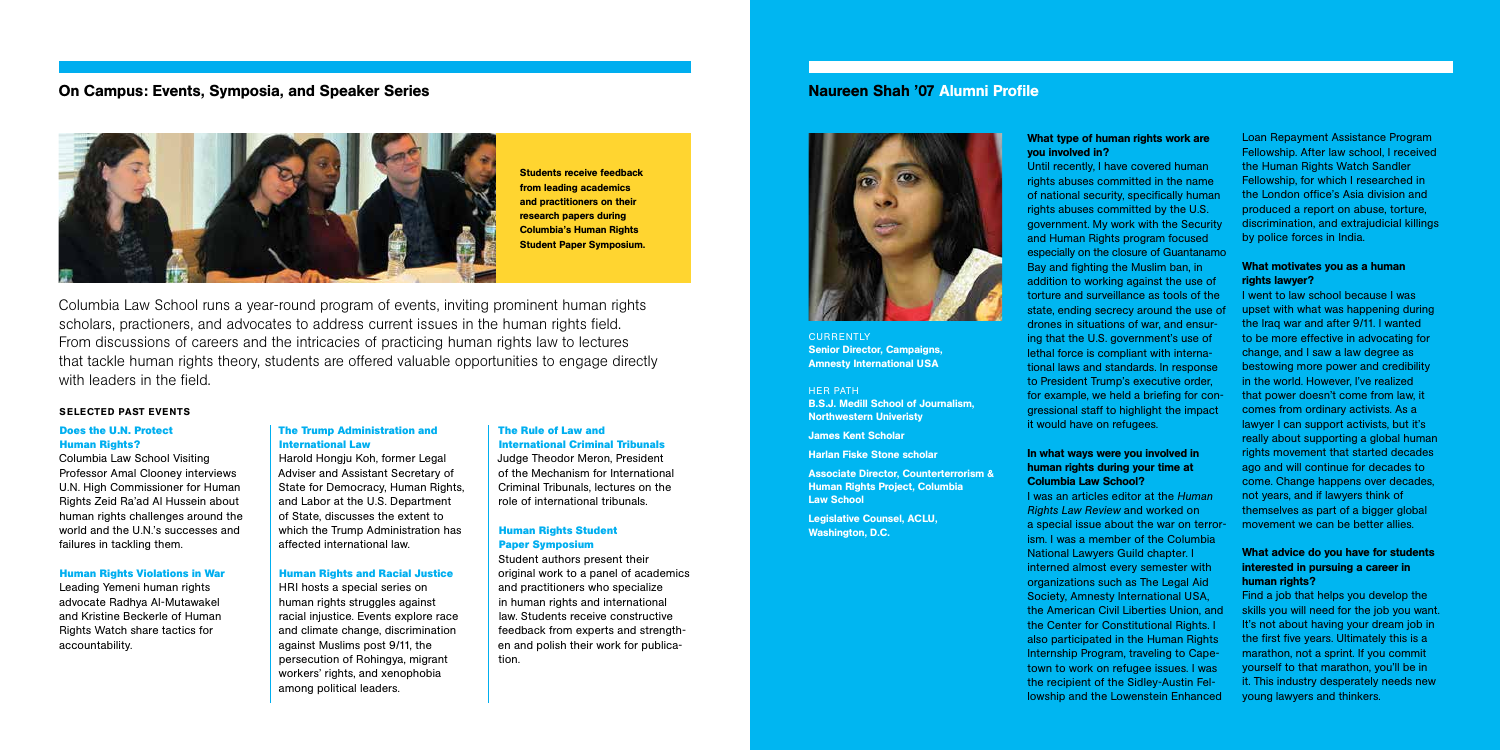Columbia Law School runs a year-round program of events, inviting prominent human rights scholars, practioners, and advocates to address current issues in the human rights field. From discussions of careers and the intricacies of practicing human rights law to lectures that tackle human rights theory, students are offered valuable opportunities to engage directly with leaders in the field.

# SELECTED PAST EVENTS

## **Does the U.N. Protect Human Rights?**

Columbia Law School Visiting Professor Amal Clooney interviews U.N. High Commissioner for Human Rights Zeid Ra'ad Al Hussein about human rights challenges around the world and the U.N.'s successes and failures in tackling them.

#### **Human Rights Violations in War**

Leading Yemeni human rights advocate Radhya Al-Mutawakel and Kristine Beckerle of Human Rights Watch share tactics for accountability.

# **The Trump Administration and International Law**

Harold Hongju Koh, former Legal Adviser and Assistant Secretary of State for Democracy, Human Rights, and Labor at the U.S. Department of State, discusses the extent to which the Trump Administration has affected international law.

### **Human Rights and Racial Justice**

HRI hosts a special series on human rights struggles against racial injustice. Events explore race and climate change, discrimination against Muslims post 9/11, the persecution of Rohingya, migrant workers' rights, and xenophobia among political leaders.

## **The Rule of Law and International Criminal Tribunals**

Judge Theodor Meron, President of the Mechanism for International Criminal Tribunals, lectures on the role of international tribunals.

# **Human Rights Student Paper Symposium**

Student authors present their original work to a panel of academics and practitioners who specialize in human rights and international law. Students receive constructive feedback from experts and strengthen and polish their work for publication.

# What motivates you as a human rights lawyer?

# On Campus: Events, Symposia, and Speaker Series



# What type of human rights work are you involved in?

Until recently, I have covered human rights abuses committed in the name of national security, specifically human rights abuses committed by the U.S. government. My work with the Security and Human Rights program focused especially on the closure of Guantanamo Bay and fighting the Muslim ban, in addition to working against the use of torture and surveillance as tools of the state, ending secrecy around the use of drones in situations of war, and ensuring that the U.S. government's use of lethal force is compliant with international laws and standards. In response to President Trump's executive order, for example, we held a briefing for congressional staff to highlight the impact it would have on refugees.

**CURRENTLY** Senior Director, Campaigns, Amnesty International USA

Legislative Counsel, ACLU, Washington, D.C.

# In what ways were you involved in human rights during your time at Columbia Law School?

I was an articles editor at the *Human Rights Law Review* and worked on a special issue about the war on terrorism. I was a member of the Columbia National Lawyers Guild chapter. I interned almost every semester with organizations such as The Legal Aid Society, Amnesty International USA, the American Civil Liberties Union, and the Center for Constitutional Rights. I also participated in the Human Rights Internship Program, traveling to Capetown to work on refugee issues. I was the recipient of the Sidley-Austin Fellowship and the Lowenstein Enhanced

Loan Repayment Assistance Program Fellowship. After law school, I received the Human Rights Watch Sandler Fellowship, for which I researched in the London office's Asia division and produced a report on abuse, torture, discrimination, and extrajudicial killings by police forces in India.

I went to law school because I was upset with what was happening during the Iraq war and after 9/11. I wanted to be more effective in advocating for change, and I saw a law degree as bestowing more power and credibility in the world. However, I've realized that power doesn't come from law, it comes from ordinary activists. As a lawyer I can support activists, but it's really about supporting a global human rights movement that started decades ago and will continue for decades to come. Change happens over decades, not years, and if lawyers think of themselves as part of a bigger global movement we can be better allies.

# What advice do you have for students interested in pursuing a career in human rights?

Find a job that helps you develop the skills you will need for the job you want. It's not about having your dream job in the first five years. Ultimately this is a marathon, not a sprint. If you commit yourself to that marathon, you'll be in it. This industry desperately needs new young lawyers and thinkers.

# Naureen Shah '07 Alumni Profile



# HER PATH B.S.J. Medill School of Journalism, Northwestern Univeristy

James Kent Scholar

Harlan Fiske Stone scholar

Associate Director, Counterterrorism & Human Rights Project, Columbia Law School

Students receive feedback from leading academics and practitioners on their research papers during Columbia's Human Rights Student Paper Symposium.